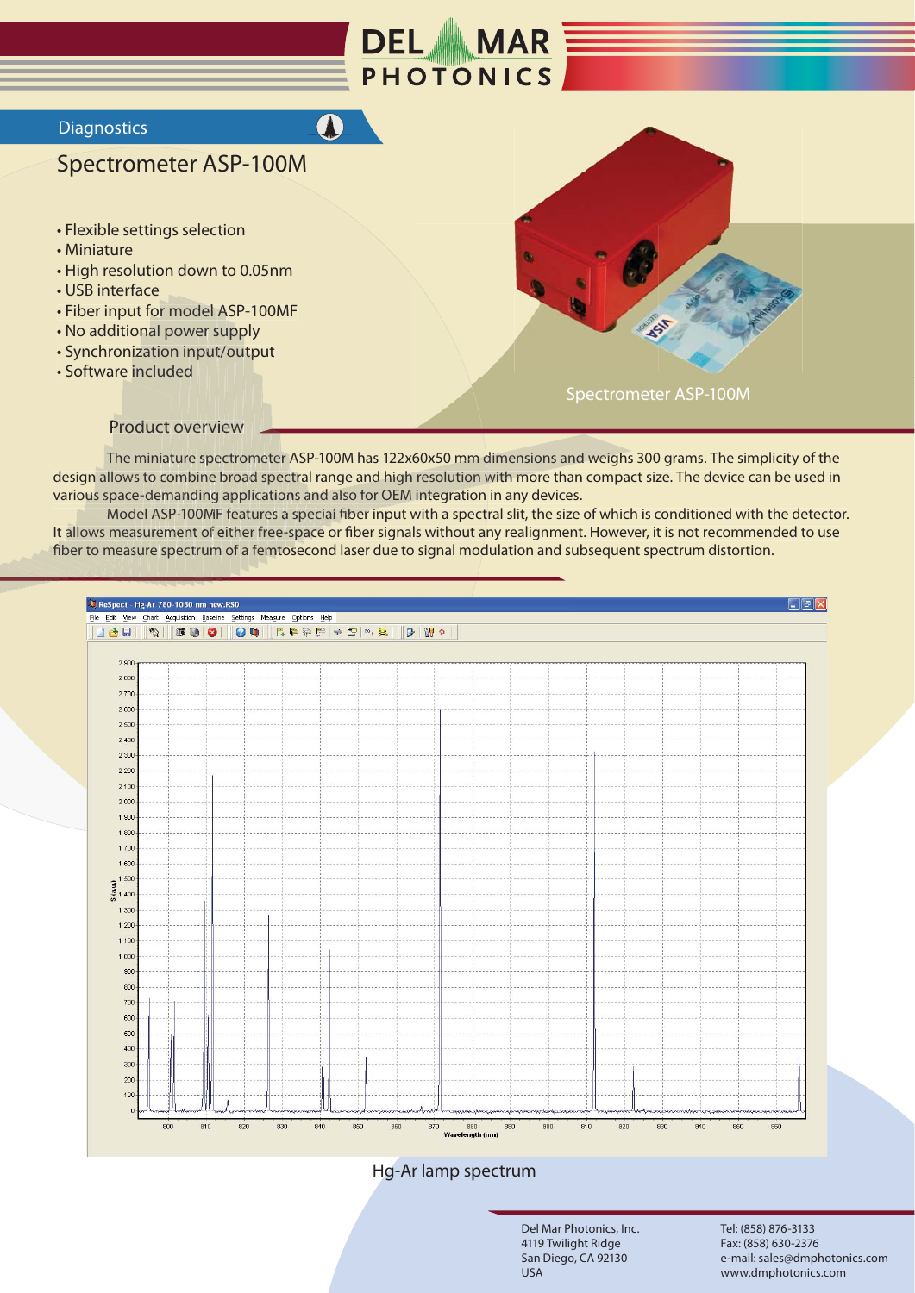

 $\bullet$ 

## **Diagnostics**

## **Spectrometer ASP-100M**

- Flexible settings selection
- Miniature
- High resolution down to 0.05nm
- · USB interface
- Fiber input for model ASP-100MF
- No additional power supply
- Synchronization input/output
- · Software included



**Product overview** 

The miniature spectrometer ASP-100M has 122x60x50 mm dimensions and weighs 300 grams. The simplicity of the design allows to combine broad spectral range and high resolution with more than compact size. The device can be used in various space-demanding applications and also for OEM integration in any devices.

Model ASP-100MF features a special fiber input with a spectral slit, the size of which is conditioned with the detector. It allows measurement of either free-space or fiber signals without any realignment. However, it is not recommended to use fiber to measure spectrum of a femtosecond laser due to signal modulation and subsequent spectrum distortion.



## Hg-Ar lamp spectrum

Del Mar Photonics, Inc. 4119 Twilight Ridge San Diego, CA 92130 USA

Tel: (858) 876-3133 Fax: (858) 630-2376 e-mail: sales@dmphotonics.com www.dmphotonics.com